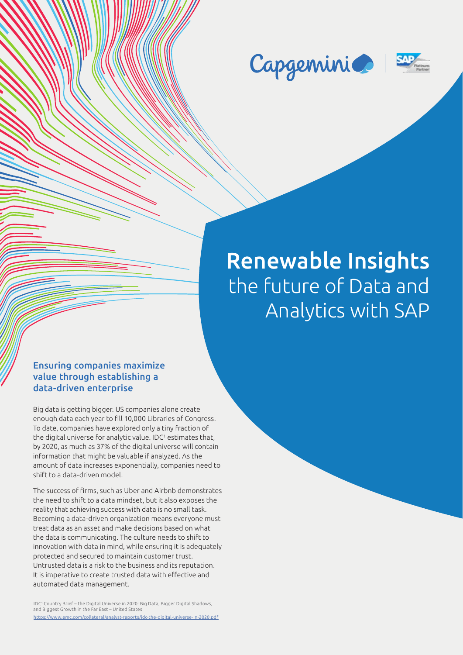



# Renewable Insights the future of Data and Analytics with SAP

#### Ensuring companies maximize value through establishing a data-driven enterprise

Big data is getting bigger. US companies alone create enough data each year to fill 10,000 Libraries of Congress. To date, companies have explored only a tiny fraction of the digital universe for analytic value. IDC<sup>1</sup> estimates that, by 2020, as much as 37% of the digital universe will contain information that might be valuable if analyzed. As the amount of data increases exponentially, companies need to shift to a data-driven model.

The success of firms, such as Uber and Airbnb demonstrates the need to shift to a data mindset, but it also exposes the reality that achieving success with data is no small task. Becoming a data-driven organization means everyone must treat data as an asset and make decisions based on what the data is communicating. The culture needs to shift to innovation with data in mind, while ensuring it is adequately protected and secured to maintain customer trust. Untrusted data is a risk to the business and its reputation. It is imperative to create trusted data with effective and automated data management.

IDC1 Country Brief – the Digital Universe in 2020: Big Data, Bigger Digital Shadows, and Biggest Growth in the Far East – United States https://www.emc.com/collateral/analyst-reports/idc-the-digital-universe-in-2020.pdf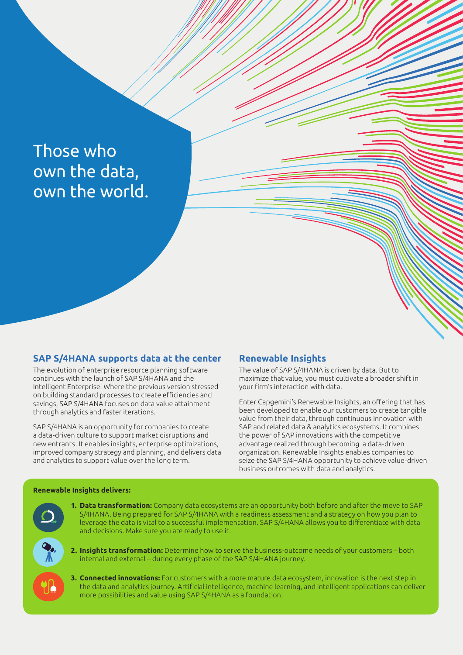## Those who own the data, own the world.

#### **SAP S/4HANA supports data at the center**

The evolution of enterprise resource planning software continues with the launch of SAP S/4HANA and the Intelligent Enterprise. Where the previous version stressed on building standard processes to create efficiencies and savings, SAP S/4HANA focuses on data value attainment through analytics and faster iterations.

SAP S/4HANA is an opportunity for companies to create a data-driven culture to support market disruptions and new entrants. It enables insights, enterprise optimizations, improved company strategy and planning, and delivers data and analytics to support value over the long term.

#### **Renewable Insights**

The value of SAP S/4HANA is driven by data. But to maximize that value, you must cultivate a broader shift in your firm's interaction with data.

Enter Capgemini's Renewable Insights, an offering that has been developed to enable our customers to create tangible value from their data, through continuous innovation with SAP and related data & analytics ecosystems. It combines the power of SAP innovations with the competitive advantage realized through becoming a data-driven organization. Renewable Insights enables companies to seize the SAP S/4HANA opportunity to achieve value-driven business outcomes with data and analytics.

#### **Renewable Insights delivers:**

- **1. Data transformation:** Company data ecosystems are an opportunity both before and after the move to SAP S/4HANA. Being prepared for SAP S/4HANA with a readiness assessment and a strategy on how you plan to leverage the data is vital to a successful implementation. SAP S/4HANA allows you to differentiate with data and decisions. Make sure you are ready to use it.
- **2. Insights transformation:** Determine how to serve the business-outcome needs of your customers both internal and external – during every phase of the SAP S/4HANA journey.
- **3. Connected innovations:** For customers with a more mature data ecosystem, innovation is the next step in the data and analytics journey. Artificial intelligence, machine learning, and intelligent applications can deliver more possibilities and value using SAP S/4HANA as a foundation.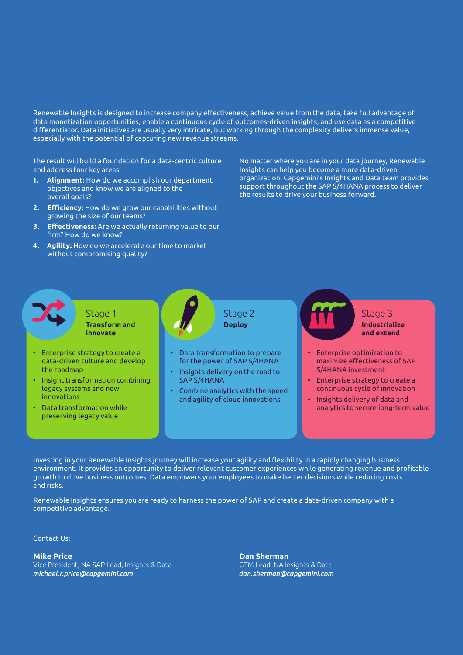Renewable Insights is designed to increase company effectiveness, achieve value from the data, take full advantage of data monetization opportunities, enable a continuous cycle of outcomes-driven insights, and use data as a competitive differentiator. Data initiatives are usually very intricate, but working through the complexity delivers immense value, especially with the potential of capturing new revenue streams.

The result will build a foundation for a data-centric culture and address four key areas:

- **1. Alignment:** How do we accomplish our department objectives and know we are aligned to the overall goals?
- **2. Efficiency:** How do we grow our capabilities without growing the size of our teams?
- **3. Effectiveness:** Are we actually returning value to our firm? How do we know?
- **4. Agility:** How do we accelerate our time to market without compromising quality?

No matter where you are in your data journey, Renewable Insights can help you become a more data-driven organization. Capgemini's Insights and Data team provides support throughout the SAP S/4HANA process to deliver the results to drive your business forward.

• Enterprise strategy to create a data-driven culture and develop the roadmap • Insight transformation combining legacy systems and new innovations • Data transformation while preserving legacy value • Data transformation to prepare for the power of SAP S/4HANA • Insights delivery on the road to SAP S/4HANA • Combine analytics with the speed and agility of cloud innovations • Enterprise optimization to maximize effectiveness of SAP S/4HANA investment • Enterprise strategy to create a continuous cycle of innovation • Insights delivery of data and analytics to secure long-term value Stage 1 **Transform and innovate** Stage 2 **Deploy** Stage 3 **Industrialize and extend**

Investing in your Renewable Insights journey will increase your agility and flexibility in a rapidly changing business environment. It provides an opportunity to deliver relevant customer experiences while generating revenue and profitable growth to drive business outcomes. Data empowers your employees to make better decisions while reducing costs and risks.

Renewable Insights ensures you are ready to harness the power of SAP and create a data-driven company with a competitive advantage.

Contact Us:

#### **Mike Price**

Vice President, NA SAP Lead, Insights & Data *michael.r.price@capgemini.com* 

**Dan Sherman** GTM Lead, NA Insights & Data *dan.sherman@capgemini.com*